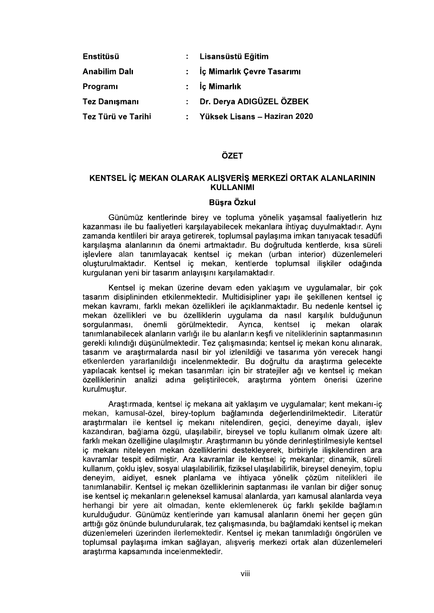| Enstitüsü            |    | Lisansüstü Eğitim            |
|----------------------|----|------------------------------|
| <b>Anabilim Dalı</b> |    | : İç Mimarlık Çevre Tasarımı |
| <b>Programi</b>      |    | $:$ $\dot{c}$ Mimarlık       |
| <b>Tez Danışmanı</b> | ÷. | Dr. Derya ADIGÜZEL ÖZBEK     |
| Tez Türü ve Tarihi   | ÷. | Yüksek Lisans - Haziran 2020 |

# ÖZET

# KENTSEL İC MEKAN OLARAK ALISVERİS MERKEZİ ORTAK ALANLARININ KULLANIMI

## Büsra Özkul

Günümüz kentlerinde birey ve topluma yönelik yaşamsal faaliyetlerin hız kazanması ile bu faaliyetleri karsılayabilecek mekanlara ihtiyac duyulmaktadır. Aynı zamanda kentlileri bir araya getirerek, toplumsal paylaşıma imkan tanıyacak tesadüfi karsılasma alanlarının da önemi artmaktadır. Bu doğrultuda kentlerde, kısa süreli işlevlere alan tanımlayacak kentsel iç mekan (urban interior) düzenlemeleri oluşturulmaktadır. Kentsel iç mekan, kentlerde toplumsal ilişkiler odağında kurgulanan yeni bir tasarım anlayışını karşılamaktadır.

Kentsel ic mekan üzerine devam eden yaklasım ve uygulamalar, bir cok tasarım disiplininden etkilenmektedir. Multidisipliner yapı ile sekillenen kentsel ic mekan kavramı, farklı mekan özellikleri ile açıklanmaktadır. Bu nedenle kentsel iç mekan özellikleri ve bu özelliklerin uygulama da nasıl karşılık bulduğunun sorgulanması, önemli görülmektedir. Ayrıca, kentsel ic mekan olarak tanımlanabilecek alanların varlığı ile bu alanların keşfi ve niteliklerinin saptanmasının<br>gerekli kılındığı düsünülmektedir. Tez calısmasında; kentsel ic mekan konu alınarak, tasarım ve araştırmalarda nasıl bir yol izlenildiği ve tasarıma yön verecek hangi<br>etkenlerden yararlanıldığı incelenmektedir. Bu doğrultu da araştırma gelecekte yapılacak kentsel iç mekan tasarımları için bir stratejiler ağı ve kentsel iç mekan özelliklerinin analizi adına geliştirilecek, araştırma yöntem önerisi üzerine<br>kurulmuştur.<br>Arastırmada kentsel icimekana aitiyaklasım ve uygulamalar; kentimekanı-ici kurulmustur.

mekan, kamusal-özel, birey-toplum bağlamında değerlendirilmektedir. Literatür araştırmaları ile kentsel iç mekanı nitelendiren, geçici, deneyime dayalı, işlev kazandıran, bağlama özgü, ulaşılabilir, bireysel ve toplu kullanım olmak üzere altı farklı mekan özelliğine ulaşılmıştır. Araştırmanın bu yönde derinleştirilmesiyle kentsel iç mekanı niteleyen mekan özelliklerini destekleyerek, birbiriyle ilişkilendiren ara kavramlar tespit edilmiştir. Ara kavramlar ile kentsel iç mekanlar; dinamik, süreli kullanım, coklu islev, sosyal ulasılabilirlik, fiziksel ulasılabilirlik, bireysel deneyim, toplu denevim, aidivet, esnek planlama ve ihtiyaca yönelik çözüm nitelikleri ile tanımlanabilir. Kentsel iç mekan özelliklerinin saptanması ile varılan bir diğer sonuç ise kentsel ic mekanların geleneksel kamusal alanlarda, yarı kamusal alanlarda veya herhangi bir yere ait olmadan, kente eklemlenerek üç farklı şekilde bağlamın kurulduğudur. Günümüz kentlerinde varı kamusal alanların önemi her gecen gün arttığı göz önünde bulundurularak, tez çalışmasında, bu bağlamdaki kentsel iç mekan düzenlemeleri üzerinden ilerlemektedir. Kentsel ic mekan tanımladığı öngörülen ve toplumsal paylaşıma imkan sağlayan, alışveriş merkezi ortak alan düzenlemeleri arastırma kapsamında incelenmektedir.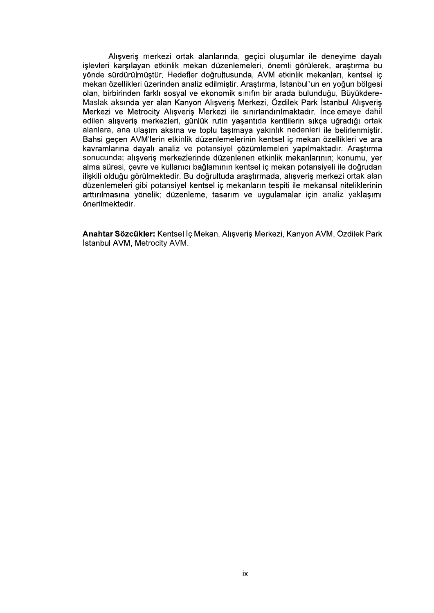Alışveriş merkezi ortak alanlarında, geçici oluşumlar ile deneyime dayalı işlevleri karşılayan etkinlik mekan düzenlemeleri, önemli görülerek, araştırma bu yönde sürdürülmüştür. Hedefler doğrultusunda, AVM etkinlik mekanları, kentsel iç mekan özellikleri üzerinden analiz edilmiştir. Araştırma, İstanbul'un en yoğun bölgesi **-** Construction Maslak aksında yer alan Kanyon Alışveriş Merkezi, Özdilek Park İstanbul Alışveriş Merkezi ve Metrocity Alışveriş Merkezi ile sınırlandırılmaktadır. İncelemeye dahil edilen alışveriş merkezleri, günlük rutin yaşantıda kentlilerin sıkça uğradığı ortak alanlara, ana ulaşım aksına ve toplu taşımaya yakınlık nedenleri ile belirlenmiştir. Bahsi geçen AVM'lerin etkinlik düzenlemelerinin kentsel iç mekan özellikleri ve ara kavramlarına dayalı analiz ve potansiyel çözümlemeleri yapılmaktadır. Araştırma sonucunda; alışveriş merkezlerinde düzenlenen etkinlik mekanlarının; konumu, yer alma süresi, çevre ve kullanıcı bağlamının kentsel iç mekan potansiyeli ile doğrudan ilişkili olduğu görülmektedir. Bu doğrultuda araştırmada, alışveriş merkezi ortak alan düzenlemeleri gibi potansiyel kentsel iç mekanların tespiti ile mekansal niteliklerinin arttırılmasına yönelik; düzenleme, tasarım ve uygulamalar için analiz yaklaşımı önerilmektedir

Anahtar Sözcükler: Kentsel İç Mekan, Alışveriş Merkezi, Kanyon AVM, Özdilek Park İstanbul AVM, Metrocity AVM.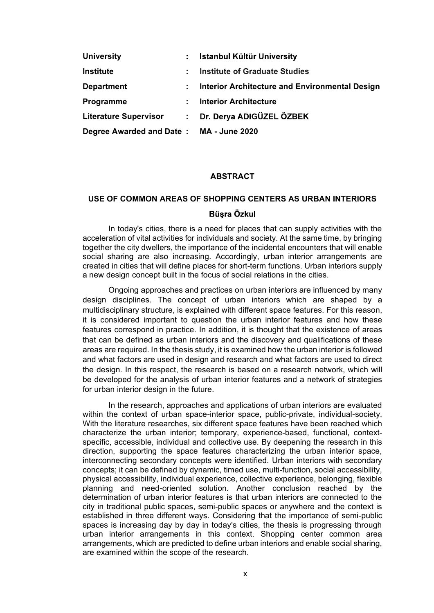| <b>University</b>            | ÷. | Istanbul Kültür University                            |  |
|------------------------------|----|-------------------------------------------------------|--|
| <b>Institute</b>             | ٠  | <b>Institute of Graduate Studies</b>                  |  |
| <b>Department</b>            | ÷. | <b>Interior Architecture and Environmental Design</b> |  |
| Programme                    | ÷. | <b>Interior Architecture</b>                          |  |
| <b>Literature Supervisor</b> | ÷. | Dr. Derya ADIGÜZEL ÖZBEK                              |  |
| Degree Awarded and Date:     |    | <b>MA - June 2020</b>                                 |  |

### ABSTRACT

# USE OF COMMON AREAS OF SHOPPING CENTERS AS URBAN INTERIORS

In today's cities, there is a need for places that can supply activities with the acceleration of vital activities for individuals and society. At the same time, by bringing together the city dwellers, the importance of the incidental encounters that will enable social sharing are also increasing. Accordingly, urban interior arrangements are created in cities that will define places for short-term functions. Urban interiors supply a new design concept built in the focus of social relations in the cities.

Ongoing approaches and practices on urban interiors are influenced by many Literature Supervisor : Dr. Derya ADIGÜZEL ÖZBEK<br>
Degree Awarded and Date : MA - June 2020<br>
ABSTRACT<br>
USE OF COMMON AREAS OF SHOPPING CENTERS AS URBAN INTERIORS<br>
In today's cities, there is a need for places that can suppl multidisciplinary structure, is explained with different space features. For this reason, it is considered important to question the urban interior features and how these features correspond in practice. In addition, it is thought that the existence of areas that can be defined as urban interiors and the discovery and qualifications of these **ABSTRACT**<br> **ABSTRACT**<br> **BUGGON CONTERS AS URBAN INTERIORS**<br> **BUGGON CONTERS AS URBAN INTERIORS**<br> **BUGGONT THECT CONTIFY (WHOTER THECT)** TO THE CONTIFY AND acceleration of vital activities for individuals and society. At t **ABSTRACT**<br>
USE OF COMMON AREAS OF SHOPPING CENTERS AS URBAN INTERIORS<br>
Büsra Özkul<br>
In today's cities, there is a need for places that can supply activities with the<br>
acceleration of vital activities for incilviduals and **USE OF COMMON AREAS OF SHOPPING CENTERS AS URBAN INTERIORS**<br> **Elisra Özkul**<br>
In today's cities, there is a need for places that can supply activities with the<br>
acceleration of vicia activities for individuals and society. **USE OF COMMON AREAS OF SHOPPING CENTERS AS URBAN INTERIORS**<br> **Bulgra Özkul**<br>
In today's cities, there is a need for places that can supply activities with the<br>
acceleration of vital activities for individuals and society. for urban interior design in the future. together the city dwellers, the importance of the incidental encounters that will enable<br>social sharing are laso increasing. Accordingly, urban interior arrangements are<br>created in cities that will define places for short-

In the research, approaches and applications of urban interiors are evaluated within the context of urban space-interior space, public-private, individual-society. With the literature researches, six different space features have been reached which specific, accessible, individual and collective use. By deepening the research in this direction, supporting the space features characterizing the urban interior space, interconnecting secondary concepts were identified. Urban interiors with secondary concepts; it can be defined by dynamic, timed use, multi-function, social accessibility, physical accessibility, individual experience, collective experience, belonging, flexible planning and need-oriented solution. Another conclusion reached by the determination of urban interior features is that urban interiors are connected to the city in traditional public spaces, semi-public spaces or anywhere and the context is established in three different ways. Considering that the importance of semi-public spaces is increasing day by day in today's cities, the thesis is progressing through urban interior arrangements in this context. Shopping center common area arrangements, which are predicted to define urban interiors and enable social sharing, are examined within the scope of the research.